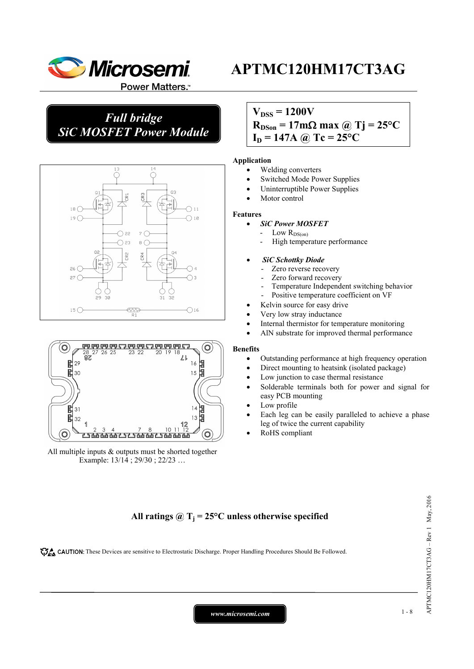

# *Full bridge SiC MOSFET Power Module*



#### 20<br>87 ℤ 闏  $29$ 16 Ы 闏 15 閳  $\overline{\mathcal{E}}$ C  $\overline{3}$ Ē 32 13 Ő r 56565656

All multiple inputs & outputs must be shorted together Example: 13/14 ; 29/30 ; 22/23 …

### $V_{DSS} = 1200V$

# $R_{DSon} = 17 \text{m}\Omega \text{ max}$  @ Tj = 25<sup>o</sup>C  $I_D = 147A$  @ Tc = 25<sup>o</sup>C

### **Application**

- Welding converters
- Switched Mode Power Supplies
- Uninterruptible Power Supplies
- Motor control

#### **Features**

- *SiC Power MOSFET*
- Low  $R_{DS(on)}$ 
	- High temperature performance

#### • *SiC Schottky Diode*

- Zero reverse recovery
- Zero forward recovery
- Temperature Independent switching behavior
- Positive temperature coefficient on VF
- Kelvin source for easy drive
- Very low stray inductance
- Internal thermistor for temperature monitoring
- AlN substrate for improved thermal performance

### **Benefits**

- Outstanding performance at high frequency operation
- Direct mounting to heatsink (isolated package)
- Low junction to case thermal resistance
- Solderable terminals both for power and signal for easy PCB mounting
- Low profile
- Each leg can be easily paralleled to achieve a phase leg of twice the current capability
- RoHS compliant

### All ratings  $\omega_{\text{I}} = 25^{\circ}\text{C}$  unless otherwise specified

CAUTION: These Devices are sensitive to Electrostatic Discharge. Proper Handling Procedures Should Be Followed.

 $APTMC120HM17CT3AG - Rev1$  May, 2016 APTMC120HM17CT3AG – Rev 1 May, 2016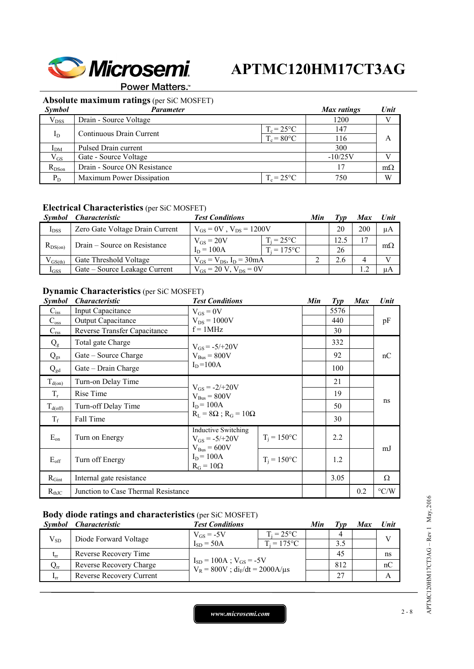

**Power Matters.**<sup>™</sup>

# **Absolute maximum ratings** (per SiC MOSFET)

| <b>Symbol</b>   | Parameter                    |                     | Max ratings | Unit      |
|-----------------|------------------------------|---------------------|-------------|-----------|
| $V_{DSS}$       | Drain - Source Voltage       |                     | 1200        |           |
|                 | Continuous Drain Current     | $T_c = 25^{\circ}C$ | 147         |           |
| $I_D$           |                              | $T_c = 80$ °C       | 116         | A         |
| I <sub>DM</sub> | Pulsed Drain current         |                     | 300         |           |
| $V_{GS}$        | Gate - Source Voltage        |                     | $-10/25V$   |           |
| $R_{DSon}$      | Drain - Source ON Resistance |                     | 17          | $m\Omega$ |
| $P_D$           | Maximum Power Dissipation    | $T_c = 25^{\circ}C$ | 750         | W         |

### **Electrical Characteristics** (per SiC MOSFET)

| Symbol       | <i><b>Characteristic</b></i>    | <b>Test Conditions</b>           |                     | Min |      | <b>Max</b> | Unit      |
|--------------|---------------------------------|----------------------------------|---------------------|-----|------|------------|-----------|
| $I_{DSS}$    | Zero Gate Voltage Drain Current | $V_{GS} = 0V$ , $V_{DS} = 1200V$ |                     |     | 20   | 200        | μA        |
| $R_{DS(on)}$ | Drain – Source on Resistance    | $V_{GS} = 20V$                   | $T_i = 25^{\circ}C$ |     | 12.5 |            |           |
|              |                                 | $I_D = 100A$                     | $T_i = 175$ °C      |     | 26   |            | $m\Omega$ |
| $V_{GS(th)}$ | Gate Threshold Voltage          | $V_{GS} = V_{DS}$ , $I_D = 30mA$ |                     |     | 2.6  |            |           |
| $I_{GSS}$    | Gate – Source Leakage Current   | $V_{GS} = 20 V$ , $V_{DS} = 0V$  |                     |     |      |            | uA        |

### **Dynamic Characteristics** (per SiC MOSFET)

| Symbol                | <i><b>Characteristic</b></i>        | <b>Test Conditions</b>                                                      |                      | Min | $\mathcal{I}yp$ | <b>Max</b> | Unit               |
|-----------------------|-------------------------------------|-----------------------------------------------------------------------------|----------------------|-----|-----------------|------------|--------------------|
| $C_{iss}$             | Input Capacitance                   | $V_{GS} = 0V$                                                               |                      |     | 5576            |            |                    |
| $C_{\underline{oss}}$ | <b>Output Capacitance</b>           | $V_{DS} = 1000V$                                                            |                      |     | 440             |            | pF                 |
| $C_{\rm rss}$         | Reverse Transfer Capacitance        | $f = 1$ MHz                                                                 |                      |     | 30              |            |                    |
| $Q_{g}$               | Total gate Charge                   | $V_{GS} = -5/+20V$                                                          |                      |     | 332             |            |                    |
| $Q_{gs}$              | Gate – Source Charge                | $V_{Bus} = 800V$                                                            |                      |     | 92              |            | nC                 |
| $Q_{gd}$              | Gate - Drain Charge                 | $I_D = 100A$                                                                |                      |     | 100             |            |                    |
| $T_{d(0n)}$           | Turn-on Delay Time                  | $V_{GS} = -2/+20V$<br>$V_{Bus} = 800V$<br>$I_D = 100A$                      |                      |     | 21              |            |                    |
| $T_r$                 | Rise Time                           |                                                                             |                      |     | 19              |            | ns                 |
| $T_{d(off)}$          | Turn-off Delay Time                 |                                                                             |                      |     | 50              |            |                    |
| $T_f$                 | Fall Time                           | $R_L = 8\Omega$ ; $R_G = 10\Omega$                                          |                      |     | 30              |            |                    |
| $E_{on}$              | Turn on Energy                      | <b>Inductive Switching</b><br>$V_{GS} = -5/+20V$<br>$V_{\text{Bus}} = 600V$ | $T_i = 150^{\circ}C$ |     | 2.2             |            | mJ                 |
| $E_{\rm off}$         | Turn off Energy                     | $I_D = 100A$<br>$R_G = 10\Omega$                                            | $T_i = 150$ °C       |     | 1.2             |            |                    |
| $R_{Gint}$            | Internal gate resistance            |                                                                             |                      |     | 3.05            |            | Ω                  |
| $R_{thJC}$            | Junction to Case Thermal Resistance |                                                                             |                      |     |                 | 0.2        | $\rm ^{\circ} C/W$ |

### **Body diode ratings and characteristics** (per SiC MOSFET)

| Symbol          | <i><b>Characteristic</b></i> | <b>Test Conditions</b>                                                     |                     | Min |     | Max | Unit |
|-----------------|------------------------------|----------------------------------------------------------------------------|---------------------|-----|-----|-----|------|
| $V_{SD}$        | Diode Forward Voltage        | $V_{GS}$ = -5V                                                             | $T_i = 25^{\circ}C$ |     |     |     |      |
|                 |                              | $I_{SD} = 50A$                                                             | $T_i = 175$ °C      |     | 3.5 |     |      |
| $t_{rr}$        | Reverse Recovery Time        | $I_{SD} = 100A$ ; $V_{GS} = -5V$<br>$V_R = 800V$ ; $di_F/dt = 2000A/\mu s$ |                     |     | 45  |     | ns   |
| $Q_{rr}$        | Reverse Recovery Charge      |                                                                            |                     |     | 812 |     | nC   |
| 1 <sub>rr</sub> | Reverse Recovery Current     |                                                                            |                     |     | 27  |     |      |

APTMC120HM17CT3AG - Rev 1 May, 2016 APTMC120HM17CT3AG – Rev 1 May, 2016

*www.microsemi.com* 2-8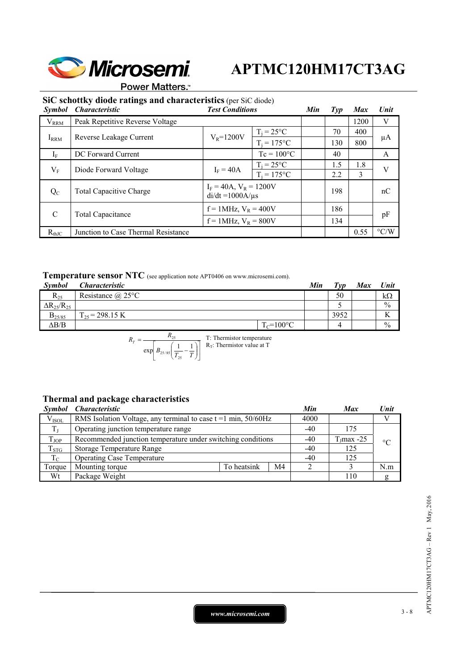

**Power Matters.** 

### **SiC schottky diode ratings and characteristics** (per SiC diode)

| <b>Symbol</b> | <b>Characteristic</b>               | <b>Test Conditions</b>                               |                     | Min       | $\mathcal{I}yp$ | <b>Max</b> | Unit               |
|---------------|-------------------------------------|------------------------------------------------------|---------------------|-----------|-----------------|------------|--------------------|
| $V_{RRM}$     | Peak Repetitive Reverse Voltage     |                                                      |                     |           |                 | 1200       | V                  |
|               |                                     | $V_R = 1200V$                                        | $T_i = 25$ °C       | 70<br>130 |                 | 400        | μA                 |
| $I_{RRM}$     | Reverse Leakage Current             |                                                      | $T_i = 175$ °C      |           |                 | 800        |                    |
| $I_F$         | DC Forward Current                  |                                                      | $Tc = 100^{\circ}C$ |           | 40              |            | A                  |
| $V_{\rm F}$   | Diode Forward Voltage               | $I_F = 40A$                                          | $T_i = 25^{\circ}C$ |           | 1.5             | 1.8        | V                  |
|               |                                     |                                                      | $T_i = 175$ °C      |           | 2.2             | 3          |                    |
| $Q_{C}$       | <b>Total Capacitive Charge</b>      | $I_F = 40A$ , $V_R = 1200V$<br>$di/dt = 1000A/\mu s$ |                     |           | 198             |            | nC                 |
| $\mathcal{C}$ |                                     | $f = 1$ MHz, $V_R = 400V$                            |                     | 186       |                 |            |                    |
|               | <b>Total Capacitance</b>            | $f = 1$ MHz, $V_R = 800V$                            |                     |           | 134             |            | pF                 |
| $R_{thJC}$    | Junction to Case Thermal Resistance |                                                      |                     |           |                 | 0.55       | $\rm ^{\circ} C/W$ |

# **Temperature sensor NTC** (see application note APT0406 on www.microsemi.com).

| Symbol                 | <i><b>Characteristic</b></i> |                | Min | $T_{VD}$ | Max | Unit          |
|------------------------|------------------------------|----------------|-----|----------|-----|---------------|
| $R_{25}$               | Resistance $\omega$ 25°C     |                |     | 50       |     | kΩ            |
| $\Delta R_{25}/R_{25}$ |                              |                |     |          |     | $\frac{0}{0}$ |
| $B_{25/85}$            | $\Gamma_{25}$ = 298.15 K     |                |     | 3952     |     | v v<br>1Y     |
| $\Delta B/B$           |                              | $T_c = 100$ °C |     |          |     | $\frac{0}{0}$ |

$$
R_T = \frac{R_{25}}{\exp\left[B_{25/85}\left(\frac{1}{T_{25}} - \frac{1}{T}\right)\right]}
$$
 T: Thermistor temperature

## **Thermal and package characteristics**

| Symbol      | <i><b>Characteristic</b></i>                                     |             |     | Min   | <b>Max</b>    | Unit            |
|-------------|------------------------------------------------------------------|-------------|-----|-------|---------------|-----------------|
| $V_{ISOL}$  | RMS Isolation Voltage, any terminal to case $t = 1$ min, 50/60Hz |             |     | 4000  |               |                 |
| $T_{\rm I}$ | Operating junction temperature range                             | $-40$       | 175 |       |               |                 |
| $T_{JOP}$   | Recommended junction temperature under switching conditions      |             |     |       | $T_J$ max -25 | $\rm ^{\circ}C$ |
| $T_{STG}$   | Storage Temperature Range                                        |             |     |       | 125           |                 |
| $T_{C}$     | <b>Operating Case Temperature</b>                                |             |     | $-40$ | 125           |                 |
| Torque      | Mounting torque                                                  | To heatsink | M4  |       |               | N.m             |
| Wt          | Package Weight                                                   |             |     |       | 110           |                 |

*www.microsemi.com* 3-8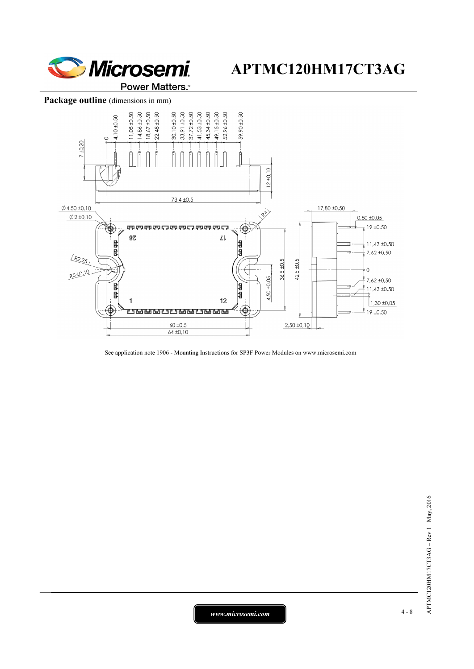

### Package outline (dimensions in mm)



See application note 1906 - Mounting Instructions for SP3F Power Modules on www.microsemi.com

*www.microsemi.com* 4-8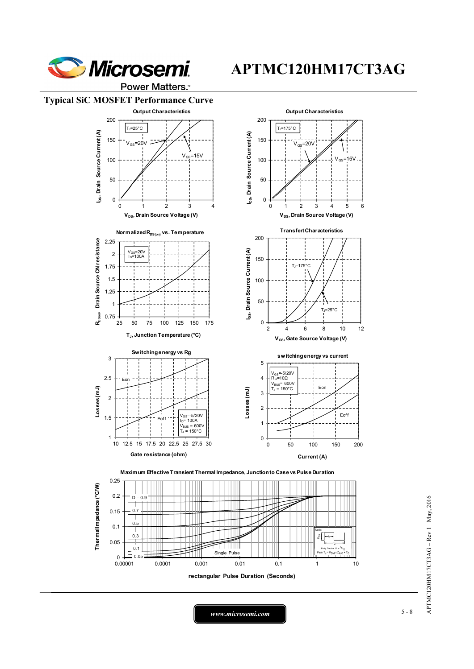

Power Matters.<sup>\*</sup>

### **Typical SiC MOSFET Performance Curve**

0.1

 $_{0.00001}^{-1}$ 

0.05

0.05 Single Pulse



APTMC120HM17CT3AG - Rev 1 May, 2016 APTMC120HM17CT3AG – Rev 1 May, 2016

*www.microsemi.com* 5-8

0.00001 0.0001 0.001 0.01 0.1 1 10

**rectangular Pulse Duration (Seconds)**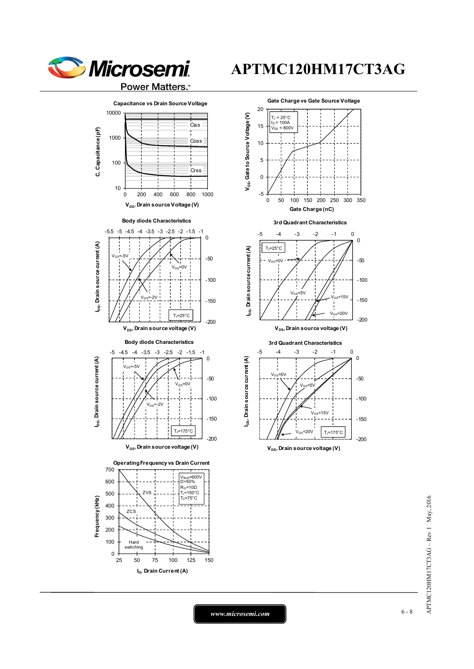



 $0 + 25$ 

25 50 75 100 125 150

**I<sub>D</sub>, Drain Current (A)** 





*www.microsemi.com* 6-8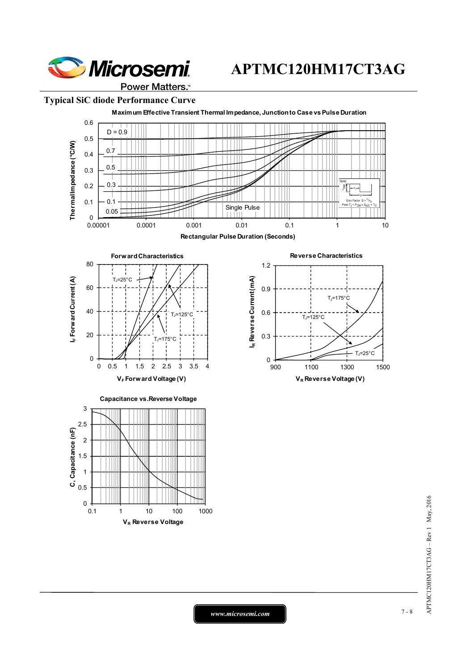

### **Typical SiC diode Performance Curve**



 $APTMC120HM17CT3AG - Rev1$  May, 2016 APTMC120HM17CT3AG – Rev 1 May, 2016

*www.microsemi.com* 7-8